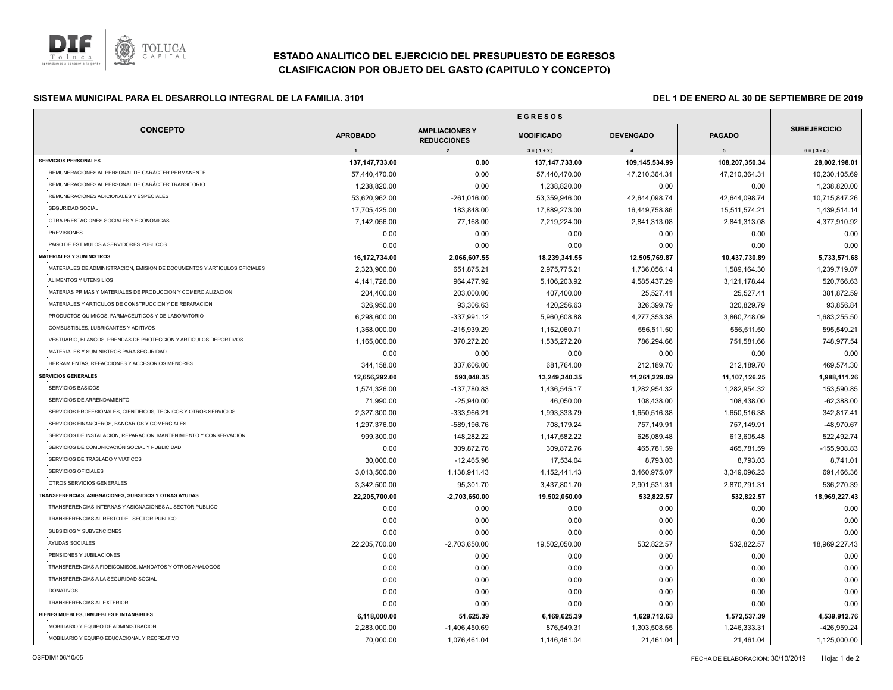

# **ESTADO ANALITICO DEL EJERCICIO DEL PRESUPUESTO DE EGRESOS CLASIFICACION POR OBJETO DEL GASTO (CAPITULO Y CONCEPTO)**

## **E G R E S O S SISTEMA MUNICIPAL PARA EL DESARROLLO INTEGRAL DE LA FAMILIA. 3101 DEL 1 DE ENERO AL 30 DE SEPTIEMBRE DE 2019**

| <b>SUBEJERCICIO</b><br><b>CONCEPTO</b><br><b>AMPLIACIONES Y</b><br><b>APROBADO</b><br><b>MODIFICADO</b><br><b>DEVENGADO</b><br><b>PAGADO</b><br><b>REDUCCIONES</b><br>$\overline{1}$<br>$\overline{2}$<br>$3 = (1 + 2)$<br>$\mathbf{A}$<br>$5\overline{5}$<br>$6 = (3 - 4)$<br>137, 147, 733.00<br>137, 147, 733.00<br>109,145,534.99<br>108,207,350.34<br>0.00<br>REMUNERACIONES AL PERSONAL DE CARÁCTER PERMANENTE<br>57,440,470.00<br>0.00<br>57,440,470.00<br>47,210,364.31<br>47,210,364.31<br>REMUNERACIONES AL PERSONAL DE CARÁCTER TRANSITORIO<br>1,238,820.00<br>0.00<br>1,238,820.00<br>0.00<br>0.00<br>REMUNERACIONES ADICIONALES Y ESPECIALES<br>53,620,962.00<br>$-261,016.00$<br>53,359,946.00<br>42,644,098.74<br>42,644,098.74<br>SEGURIDAD SOCIAL<br>16,449,758.86<br>15,511,574.21<br>17,705,425.00<br>183,848.00<br>17,889,273.00<br>OTRA PRESTACIONES SOCIALES Y ECONOMICAS<br>7,142,056.00<br>77,168.00<br>7,219,224.00<br>2,841,313.08<br>2,841,313.08<br><b>PREVISIONES</b><br>0.00<br>0.00<br>0.00<br>0.00<br>0.00<br>PAGO DE ESTIMULOS A SERVIDORES PUBLICOS<br>0.00<br>0.00<br>0.00<br>0.00<br>0.00<br>16,172,734.00<br>2,066,607.55<br>18,239,341.55<br>12,505,769.87<br>10,437,730.89<br>MATERIALES DE ADMINISTRACION, EMISION DE DOCUMENTOS Y ARTICULOS OFICIALES<br>2,323,900.00<br>651,875.21<br>2,975,775.21<br>1,736,056.14<br>1,589,164.30<br>ALIMENTOS Y UTENSILIOS<br>964,477.92<br>4,585,437.29<br>4,141,726.00<br>5,106,203.92<br>3,121,178.44<br>MATERIAS PRIMAS Y MATERIALES DE PRODUCCION Y COMERCIALIZACION<br>203,000.00<br>407,400.00<br>25,527.41<br>25,527.41<br>204,400.00<br>MATERIALES Y ARTICULOS DE CONSTRUCCION Y DE REPARACION<br>326,950.00<br>93,306.63<br>420,256.63<br>326,399.79<br>320,829.79<br>PRODUCTOS QUIMICOS, FARMACEUTICOS Y DE LABORATORIO<br>6,298,600.00<br>-337,991.12<br>5,960,608.88<br>4,277,353.38<br>3,860,748.09<br>COMBUSTIBLES, LUBRICANTES Y ADITIVOS<br>-215,939.29<br>556,511.50<br>556,511.50<br>1,368,000.00<br>1,152,060.71<br>VESTUARIO, BLANCOS, PRENDAS DE PROTECCION Y ARTICULOS DEPORTIVOS<br>1,165,000.00<br>370,272.20<br>1,535,272.20<br>786,294.66<br>751,581.66<br>MATERIALES Y SUMINISTROS PARA SEGURIDAD<br>0.00<br>0.00<br>0.00<br>0.00<br>0.00<br>HERRAMIENTAS, REFACCIONES Y ACCESORIOS MENORES<br>344,158.00<br>337,606.00<br>681,764.00<br>212,189.70<br>212,189.70<br>11,107,126.25<br>12,656,292.00<br>593,048.35<br>13,249,340.35<br>11,261,229.09<br>SERVICIOS BASICOS<br>1,574,326.00<br>-137,780.83<br>1,436,545.17<br>1,282,954.32<br>1,282,954.32<br>SERVICIOS DE ARRENDAMIENTO<br>71,990.00<br>$-25,940.00$<br>46,050.00<br>108,438.00<br>108,438.00<br>SERVICIOS PROFESIONALES, CIENTIFICOS, TECNICOS Y OTROS SERVICIOS<br>1,993,333.79<br>1,650,516.38<br>2,327,300.00<br>-333,966.21<br>1,650,516.38<br>SERVICIOS FINANCIEROS, BANCARIOS Y COMERCIALES<br>1,297,376.00<br>-589,196.76<br>708,179.24<br>757,149.91<br>757,149.91<br>SERVICIOS DE INSTALACION, REPARACION, MANTENIMIENTO Y CONSERVACION<br>999,300.00<br>148,282.22<br>1,147,582.22<br>625,089.48<br>613,605.48<br>SERVICIOS DE COMUNICACIÓN SOCIAL Y PUBLICIDAD<br>0.00<br>309,872.76<br>309,872.76<br>465,781.59<br>465,781.59<br>SERVICIOS DE TRASLADO Y VIATICOS<br>30,000.00<br>$-12,465.96$<br>17,534.04<br>8,793.03<br>8,793.03<br>SERVICIOS OFICIALES<br>3,013,500.00<br>3,460,975.07<br>1,138,941.43<br>4,152,441.43<br>3,349,096.23<br>OTROS SERVICIOS GENERALES<br>3,342,500.00<br>95,301.70<br>3,437,801.70<br>2,901,531.31<br>2,870,791.31<br>19,502,050.00<br>532,822.57<br>532,822.57<br>18,969,227.43<br>22,205,700.00<br>$-2,703,650.00$<br>TRANSFERENCIAS INTERNAS Y ASIGNACIONES AL SECTOR PUBLICO<br>0.00<br>0.00<br>0.00<br>0.00<br>0.00<br>TRANSFERENCIAS AL RESTO DEL SECTOR PUBLICO<br>0.00<br>0.00<br>0.00<br>0.00<br>0.00<br>SUBSIDIOS Y SUBVENCIONES<br>0.00<br>0.00<br>0.00<br>0.00<br>0.00<br>AYUDAS SOCIALES<br>532,822.57<br>532,822.57<br>22,205,700.00<br>$-2,703,650.00$<br>19,502,050.00<br>PENSIONES Y JUBILACIONES<br>0.00<br>0.00<br>0.00<br>0.00<br>0.00<br>TRANSFERENCIAS A FIDEICOMISOS, MANDATOS Y OTROS ANALOGOS<br>0.00<br>0.00<br>0.00<br>0.00<br>0.00<br>TRANSFERENCIAS A LA SEGURIDAD SOCIAL<br>0.00<br>0.00<br>0.00<br>0.00<br>0.00<br><b>DONATIVOS</b><br>0.00<br>0.00<br>0.00<br>0.00<br>0.00<br>TRANSFERENCIAS AL EXTERIOR<br>0.00<br>0.00<br>0.00<br>0.00<br>0.00<br>1,629,712.63<br>1,572,537.39<br>6,118,000.00<br>51,625.39<br>6,169,625.39<br>MOBILIARIO Y EQUIPO DE ADMINISTRACION<br>2,283,000.00<br>876,549.31<br>1,303,508.55<br>1,246,333.31<br>$-1,406,450.69$<br>MOBILIARIO Y EQUIPO EDUCACIONAL Y RECREATIVO<br>21,461.04<br>21,461.04<br>70,000.00<br>1,076,461.04<br>1,146,461.04 |                                                        | <b>EGRESOS</b> |  |  |  |               |  |
|-------------------------------------------------------------------------------------------------------------------------------------------------------------------------------------------------------------------------------------------------------------------------------------------------------------------------------------------------------------------------------------------------------------------------------------------------------------------------------------------------------------------------------------------------------------------------------------------------------------------------------------------------------------------------------------------------------------------------------------------------------------------------------------------------------------------------------------------------------------------------------------------------------------------------------------------------------------------------------------------------------------------------------------------------------------------------------------------------------------------------------------------------------------------------------------------------------------------------------------------------------------------------------------------------------------------------------------------------------------------------------------------------------------------------------------------------------------------------------------------------------------------------------------------------------------------------------------------------------------------------------------------------------------------------------------------------------------------------------------------------------------------------------------------------------------------------------------------------------------------------------------------------------------------------------------------------------------------------------------------------------------------------------------------------------------------------------------------------------------------------------------------------------------------------------------------------------------------------------------------------------------------------------------------------------------------------------------------------------------------------------------------------------------------------------------------------------------------------------------------------------------------------------------------------------------------------------------------------------------------------------------------------------------------------------------------------------------------------------------------------------------------------------------------------------------------------------------------------------------------------------------------------------------------------------------------------------------------------------------------------------------------------------------------------------------------------------------------------------------------------------------------------------------------------------------------------------------------------------------------------------------------------------------------------------------------------------------------------------------------------------------------------------------------------------------------------------------------------------------------------------------------------------------------------------------------------------------------------------------------------------------------------------------------------------------------------------------------------------------------------------------------------------------------------------------------------------------------------------------------------------------------------------------------------------------------------------------------------------------------------------------------------------------------------------------------------------------------------------------------------------------------------------------------------------------------------------------------------------------------------------------------------------------------------------------------------------------------------------------------------------------------------------------------------------------------------------------------------------------------------------------------------------------------------------------------------------------------------------------------------------------------------------------------------------------------------------------------------------------|--------------------------------------------------------|----------------|--|--|--|---------------|--|
|                                                                                                                                                                                                                                                                                                                                                                                                                                                                                                                                                                                                                                                                                                                                                                                                                                                                                                                                                                                                                                                                                                                                                                                                                                                                                                                                                                                                                                                                                                                                                                                                                                                                                                                                                                                                                                                                                                                                                                                                                                                                                                                                                                                                                                                                                                                                                                                                                                                                                                                                                                                                                                                                                                                                                                                                                                                                                                                                                                                                                                                                                                                                                                                                                                                                                                                                                                                                                                                                                                                                                                                                                                                                                                                                                                                                                                                                                                                                                                                                                                                                                                                                                                                                                                                                                                                                                                                                                                                                                                                                                                                                                                                                                                                                     |                                                        |                |  |  |  |               |  |
|                                                                                                                                                                                                                                                                                                                                                                                                                                                                                                                                                                                                                                                                                                                                                                                                                                                                                                                                                                                                                                                                                                                                                                                                                                                                                                                                                                                                                                                                                                                                                                                                                                                                                                                                                                                                                                                                                                                                                                                                                                                                                                                                                                                                                                                                                                                                                                                                                                                                                                                                                                                                                                                                                                                                                                                                                                                                                                                                                                                                                                                                                                                                                                                                                                                                                                                                                                                                                                                                                                                                                                                                                                                                                                                                                                                                                                                                                                                                                                                                                                                                                                                                                                                                                                                                                                                                                                                                                                                                                                                                                                                                                                                                                                                                     |                                                        |                |  |  |  |               |  |
|                                                                                                                                                                                                                                                                                                                                                                                                                                                                                                                                                                                                                                                                                                                                                                                                                                                                                                                                                                                                                                                                                                                                                                                                                                                                                                                                                                                                                                                                                                                                                                                                                                                                                                                                                                                                                                                                                                                                                                                                                                                                                                                                                                                                                                                                                                                                                                                                                                                                                                                                                                                                                                                                                                                                                                                                                                                                                                                                                                                                                                                                                                                                                                                                                                                                                                                                                                                                                                                                                                                                                                                                                                                                                                                                                                                                                                                                                                                                                                                                                                                                                                                                                                                                                                                                                                                                                                                                                                                                                                                                                                                                                                                                                                                                     | <b>SERVICIOS PERSONALES</b>                            |                |  |  |  | 28,002,198.01 |  |
|                                                                                                                                                                                                                                                                                                                                                                                                                                                                                                                                                                                                                                                                                                                                                                                                                                                                                                                                                                                                                                                                                                                                                                                                                                                                                                                                                                                                                                                                                                                                                                                                                                                                                                                                                                                                                                                                                                                                                                                                                                                                                                                                                                                                                                                                                                                                                                                                                                                                                                                                                                                                                                                                                                                                                                                                                                                                                                                                                                                                                                                                                                                                                                                                                                                                                                                                                                                                                                                                                                                                                                                                                                                                                                                                                                                                                                                                                                                                                                                                                                                                                                                                                                                                                                                                                                                                                                                                                                                                                                                                                                                                                                                                                                                                     |                                                        |                |  |  |  | 10,230,105.69 |  |
|                                                                                                                                                                                                                                                                                                                                                                                                                                                                                                                                                                                                                                                                                                                                                                                                                                                                                                                                                                                                                                                                                                                                                                                                                                                                                                                                                                                                                                                                                                                                                                                                                                                                                                                                                                                                                                                                                                                                                                                                                                                                                                                                                                                                                                                                                                                                                                                                                                                                                                                                                                                                                                                                                                                                                                                                                                                                                                                                                                                                                                                                                                                                                                                                                                                                                                                                                                                                                                                                                                                                                                                                                                                                                                                                                                                                                                                                                                                                                                                                                                                                                                                                                                                                                                                                                                                                                                                                                                                                                                                                                                                                                                                                                                                                     |                                                        |                |  |  |  | 1,238,820.00  |  |
|                                                                                                                                                                                                                                                                                                                                                                                                                                                                                                                                                                                                                                                                                                                                                                                                                                                                                                                                                                                                                                                                                                                                                                                                                                                                                                                                                                                                                                                                                                                                                                                                                                                                                                                                                                                                                                                                                                                                                                                                                                                                                                                                                                                                                                                                                                                                                                                                                                                                                                                                                                                                                                                                                                                                                                                                                                                                                                                                                                                                                                                                                                                                                                                                                                                                                                                                                                                                                                                                                                                                                                                                                                                                                                                                                                                                                                                                                                                                                                                                                                                                                                                                                                                                                                                                                                                                                                                                                                                                                                                                                                                                                                                                                                                                     |                                                        |                |  |  |  | 10,715,847.26 |  |
|                                                                                                                                                                                                                                                                                                                                                                                                                                                                                                                                                                                                                                                                                                                                                                                                                                                                                                                                                                                                                                                                                                                                                                                                                                                                                                                                                                                                                                                                                                                                                                                                                                                                                                                                                                                                                                                                                                                                                                                                                                                                                                                                                                                                                                                                                                                                                                                                                                                                                                                                                                                                                                                                                                                                                                                                                                                                                                                                                                                                                                                                                                                                                                                                                                                                                                                                                                                                                                                                                                                                                                                                                                                                                                                                                                                                                                                                                                                                                                                                                                                                                                                                                                                                                                                                                                                                                                                                                                                                                                                                                                                                                                                                                                                                     |                                                        |                |  |  |  | 1,439,514.14  |  |
|                                                                                                                                                                                                                                                                                                                                                                                                                                                                                                                                                                                                                                                                                                                                                                                                                                                                                                                                                                                                                                                                                                                                                                                                                                                                                                                                                                                                                                                                                                                                                                                                                                                                                                                                                                                                                                                                                                                                                                                                                                                                                                                                                                                                                                                                                                                                                                                                                                                                                                                                                                                                                                                                                                                                                                                                                                                                                                                                                                                                                                                                                                                                                                                                                                                                                                                                                                                                                                                                                                                                                                                                                                                                                                                                                                                                                                                                                                                                                                                                                                                                                                                                                                                                                                                                                                                                                                                                                                                                                                                                                                                                                                                                                                                                     |                                                        |                |  |  |  | 4,377,910.92  |  |
|                                                                                                                                                                                                                                                                                                                                                                                                                                                                                                                                                                                                                                                                                                                                                                                                                                                                                                                                                                                                                                                                                                                                                                                                                                                                                                                                                                                                                                                                                                                                                                                                                                                                                                                                                                                                                                                                                                                                                                                                                                                                                                                                                                                                                                                                                                                                                                                                                                                                                                                                                                                                                                                                                                                                                                                                                                                                                                                                                                                                                                                                                                                                                                                                                                                                                                                                                                                                                                                                                                                                                                                                                                                                                                                                                                                                                                                                                                                                                                                                                                                                                                                                                                                                                                                                                                                                                                                                                                                                                                                                                                                                                                                                                                                                     |                                                        |                |  |  |  | 0.00          |  |
|                                                                                                                                                                                                                                                                                                                                                                                                                                                                                                                                                                                                                                                                                                                                                                                                                                                                                                                                                                                                                                                                                                                                                                                                                                                                                                                                                                                                                                                                                                                                                                                                                                                                                                                                                                                                                                                                                                                                                                                                                                                                                                                                                                                                                                                                                                                                                                                                                                                                                                                                                                                                                                                                                                                                                                                                                                                                                                                                                                                                                                                                                                                                                                                                                                                                                                                                                                                                                                                                                                                                                                                                                                                                                                                                                                                                                                                                                                                                                                                                                                                                                                                                                                                                                                                                                                                                                                                                                                                                                                                                                                                                                                                                                                                                     |                                                        |                |  |  |  | 0.00          |  |
|                                                                                                                                                                                                                                                                                                                                                                                                                                                                                                                                                                                                                                                                                                                                                                                                                                                                                                                                                                                                                                                                                                                                                                                                                                                                                                                                                                                                                                                                                                                                                                                                                                                                                                                                                                                                                                                                                                                                                                                                                                                                                                                                                                                                                                                                                                                                                                                                                                                                                                                                                                                                                                                                                                                                                                                                                                                                                                                                                                                                                                                                                                                                                                                                                                                                                                                                                                                                                                                                                                                                                                                                                                                                                                                                                                                                                                                                                                                                                                                                                                                                                                                                                                                                                                                                                                                                                                                                                                                                                                                                                                                                                                                                                                                                     | <b>MATERIALES Y SUMINISTROS</b>                        |                |  |  |  | 5,733,571.68  |  |
|                                                                                                                                                                                                                                                                                                                                                                                                                                                                                                                                                                                                                                                                                                                                                                                                                                                                                                                                                                                                                                                                                                                                                                                                                                                                                                                                                                                                                                                                                                                                                                                                                                                                                                                                                                                                                                                                                                                                                                                                                                                                                                                                                                                                                                                                                                                                                                                                                                                                                                                                                                                                                                                                                                                                                                                                                                                                                                                                                                                                                                                                                                                                                                                                                                                                                                                                                                                                                                                                                                                                                                                                                                                                                                                                                                                                                                                                                                                                                                                                                                                                                                                                                                                                                                                                                                                                                                                                                                                                                                                                                                                                                                                                                                                                     |                                                        |                |  |  |  | 1,239,719.07  |  |
|                                                                                                                                                                                                                                                                                                                                                                                                                                                                                                                                                                                                                                                                                                                                                                                                                                                                                                                                                                                                                                                                                                                                                                                                                                                                                                                                                                                                                                                                                                                                                                                                                                                                                                                                                                                                                                                                                                                                                                                                                                                                                                                                                                                                                                                                                                                                                                                                                                                                                                                                                                                                                                                                                                                                                                                                                                                                                                                                                                                                                                                                                                                                                                                                                                                                                                                                                                                                                                                                                                                                                                                                                                                                                                                                                                                                                                                                                                                                                                                                                                                                                                                                                                                                                                                                                                                                                                                                                                                                                                                                                                                                                                                                                                                                     |                                                        |                |  |  |  | 520,766.63    |  |
|                                                                                                                                                                                                                                                                                                                                                                                                                                                                                                                                                                                                                                                                                                                                                                                                                                                                                                                                                                                                                                                                                                                                                                                                                                                                                                                                                                                                                                                                                                                                                                                                                                                                                                                                                                                                                                                                                                                                                                                                                                                                                                                                                                                                                                                                                                                                                                                                                                                                                                                                                                                                                                                                                                                                                                                                                                                                                                                                                                                                                                                                                                                                                                                                                                                                                                                                                                                                                                                                                                                                                                                                                                                                                                                                                                                                                                                                                                                                                                                                                                                                                                                                                                                                                                                                                                                                                                                                                                                                                                                                                                                                                                                                                                                                     |                                                        |                |  |  |  | 381,872.59    |  |
|                                                                                                                                                                                                                                                                                                                                                                                                                                                                                                                                                                                                                                                                                                                                                                                                                                                                                                                                                                                                                                                                                                                                                                                                                                                                                                                                                                                                                                                                                                                                                                                                                                                                                                                                                                                                                                                                                                                                                                                                                                                                                                                                                                                                                                                                                                                                                                                                                                                                                                                                                                                                                                                                                                                                                                                                                                                                                                                                                                                                                                                                                                                                                                                                                                                                                                                                                                                                                                                                                                                                                                                                                                                                                                                                                                                                                                                                                                                                                                                                                                                                                                                                                                                                                                                                                                                                                                                                                                                                                                                                                                                                                                                                                                                                     |                                                        |                |  |  |  | 93,856.84     |  |
|                                                                                                                                                                                                                                                                                                                                                                                                                                                                                                                                                                                                                                                                                                                                                                                                                                                                                                                                                                                                                                                                                                                                                                                                                                                                                                                                                                                                                                                                                                                                                                                                                                                                                                                                                                                                                                                                                                                                                                                                                                                                                                                                                                                                                                                                                                                                                                                                                                                                                                                                                                                                                                                                                                                                                                                                                                                                                                                                                                                                                                                                                                                                                                                                                                                                                                                                                                                                                                                                                                                                                                                                                                                                                                                                                                                                                                                                                                                                                                                                                                                                                                                                                                                                                                                                                                                                                                                                                                                                                                                                                                                                                                                                                                                                     |                                                        |                |  |  |  | 1,683,255.50  |  |
|                                                                                                                                                                                                                                                                                                                                                                                                                                                                                                                                                                                                                                                                                                                                                                                                                                                                                                                                                                                                                                                                                                                                                                                                                                                                                                                                                                                                                                                                                                                                                                                                                                                                                                                                                                                                                                                                                                                                                                                                                                                                                                                                                                                                                                                                                                                                                                                                                                                                                                                                                                                                                                                                                                                                                                                                                                                                                                                                                                                                                                                                                                                                                                                                                                                                                                                                                                                                                                                                                                                                                                                                                                                                                                                                                                                                                                                                                                                                                                                                                                                                                                                                                                                                                                                                                                                                                                                                                                                                                                                                                                                                                                                                                                                                     |                                                        |                |  |  |  | 595,549.21    |  |
|                                                                                                                                                                                                                                                                                                                                                                                                                                                                                                                                                                                                                                                                                                                                                                                                                                                                                                                                                                                                                                                                                                                                                                                                                                                                                                                                                                                                                                                                                                                                                                                                                                                                                                                                                                                                                                                                                                                                                                                                                                                                                                                                                                                                                                                                                                                                                                                                                                                                                                                                                                                                                                                                                                                                                                                                                                                                                                                                                                                                                                                                                                                                                                                                                                                                                                                                                                                                                                                                                                                                                                                                                                                                                                                                                                                                                                                                                                                                                                                                                                                                                                                                                                                                                                                                                                                                                                                                                                                                                                                                                                                                                                                                                                                                     |                                                        |                |  |  |  | 748,977.54    |  |
|                                                                                                                                                                                                                                                                                                                                                                                                                                                                                                                                                                                                                                                                                                                                                                                                                                                                                                                                                                                                                                                                                                                                                                                                                                                                                                                                                                                                                                                                                                                                                                                                                                                                                                                                                                                                                                                                                                                                                                                                                                                                                                                                                                                                                                                                                                                                                                                                                                                                                                                                                                                                                                                                                                                                                                                                                                                                                                                                                                                                                                                                                                                                                                                                                                                                                                                                                                                                                                                                                                                                                                                                                                                                                                                                                                                                                                                                                                                                                                                                                                                                                                                                                                                                                                                                                                                                                                                                                                                                                                                                                                                                                                                                                                                                     |                                                        |                |  |  |  | 0.00          |  |
|                                                                                                                                                                                                                                                                                                                                                                                                                                                                                                                                                                                                                                                                                                                                                                                                                                                                                                                                                                                                                                                                                                                                                                                                                                                                                                                                                                                                                                                                                                                                                                                                                                                                                                                                                                                                                                                                                                                                                                                                                                                                                                                                                                                                                                                                                                                                                                                                                                                                                                                                                                                                                                                                                                                                                                                                                                                                                                                                                                                                                                                                                                                                                                                                                                                                                                                                                                                                                                                                                                                                                                                                                                                                                                                                                                                                                                                                                                                                                                                                                                                                                                                                                                                                                                                                                                                                                                                                                                                                                                                                                                                                                                                                                                                                     |                                                        |                |  |  |  | 469,574.30    |  |
|                                                                                                                                                                                                                                                                                                                                                                                                                                                                                                                                                                                                                                                                                                                                                                                                                                                                                                                                                                                                                                                                                                                                                                                                                                                                                                                                                                                                                                                                                                                                                                                                                                                                                                                                                                                                                                                                                                                                                                                                                                                                                                                                                                                                                                                                                                                                                                                                                                                                                                                                                                                                                                                                                                                                                                                                                                                                                                                                                                                                                                                                                                                                                                                                                                                                                                                                                                                                                                                                                                                                                                                                                                                                                                                                                                                                                                                                                                                                                                                                                                                                                                                                                                                                                                                                                                                                                                                                                                                                                                                                                                                                                                                                                                                                     | <b>SERVICIOS GENERALES</b>                             |                |  |  |  | 1,988,111.26  |  |
|                                                                                                                                                                                                                                                                                                                                                                                                                                                                                                                                                                                                                                                                                                                                                                                                                                                                                                                                                                                                                                                                                                                                                                                                                                                                                                                                                                                                                                                                                                                                                                                                                                                                                                                                                                                                                                                                                                                                                                                                                                                                                                                                                                                                                                                                                                                                                                                                                                                                                                                                                                                                                                                                                                                                                                                                                                                                                                                                                                                                                                                                                                                                                                                                                                                                                                                                                                                                                                                                                                                                                                                                                                                                                                                                                                                                                                                                                                                                                                                                                                                                                                                                                                                                                                                                                                                                                                                                                                                                                                                                                                                                                                                                                                                                     |                                                        |                |  |  |  | 153,590.85    |  |
|                                                                                                                                                                                                                                                                                                                                                                                                                                                                                                                                                                                                                                                                                                                                                                                                                                                                                                                                                                                                                                                                                                                                                                                                                                                                                                                                                                                                                                                                                                                                                                                                                                                                                                                                                                                                                                                                                                                                                                                                                                                                                                                                                                                                                                                                                                                                                                                                                                                                                                                                                                                                                                                                                                                                                                                                                                                                                                                                                                                                                                                                                                                                                                                                                                                                                                                                                                                                                                                                                                                                                                                                                                                                                                                                                                                                                                                                                                                                                                                                                                                                                                                                                                                                                                                                                                                                                                                                                                                                                                                                                                                                                                                                                                                                     |                                                        |                |  |  |  | $-62,388.00$  |  |
|                                                                                                                                                                                                                                                                                                                                                                                                                                                                                                                                                                                                                                                                                                                                                                                                                                                                                                                                                                                                                                                                                                                                                                                                                                                                                                                                                                                                                                                                                                                                                                                                                                                                                                                                                                                                                                                                                                                                                                                                                                                                                                                                                                                                                                                                                                                                                                                                                                                                                                                                                                                                                                                                                                                                                                                                                                                                                                                                                                                                                                                                                                                                                                                                                                                                                                                                                                                                                                                                                                                                                                                                                                                                                                                                                                                                                                                                                                                                                                                                                                                                                                                                                                                                                                                                                                                                                                                                                                                                                                                                                                                                                                                                                                                                     |                                                        |                |  |  |  | 342,817.41    |  |
|                                                                                                                                                                                                                                                                                                                                                                                                                                                                                                                                                                                                                                                                                                                                                                                                                                                                                                                                                                                                                                                                                                                                                                                                                                                                                                                                                                                                                                                                                                                                                                                                                                                                                                                                                                                                                                                                                                                                                                                                                                                                                                                                                                                                                                                                                                                                                                                                                                                                                                                                                                                                                                                                                                                                                                                                                                                                                                                                                                                                                                                                                                                                                                                                                                                                                                                                                                                                                                                                                                                                                                                                                                                                                                                                                                                                                                                                                                                                                                                                                                                                                                                                                                                                                                                                                                                                                                                                                                                                                                                                                                                                                                                                                                                                     |                                                        |                |  |  |  | -48,970.67    |  |
|                                                                                                                                                                                                                                                                                                                                                                                                                                                                                                                                                                                                                                                                                                                                                                                                                                                                                                                                                                                                                                                                                                                                                                                                                                                                                                                                                                                                                                                                                                                                                                                                                                                                                                                                                                                                                                                                                                                                                                                                                                                                                                                                                                                                                                                                                                                                                                                                                                                                                                                                                                                                                                                                                                                                                                                                                                                                                                                                                                                                                                                                                                                                                                                                                                                                                                                                                                                                                                                                                                                                                                                                                                                                                                                                                                                                                                                                                                                                                                                                                                                                                                                                                                                                                                                                                                                                                                                                                                                                                                                                                                                                                                                                                                                                     |                                                        |                |  |  |  | 522,492.74    |  |
|                                                                                                                                                                                                                                                                                                                                                                                                                                                                                                                                                                                                                                                                                                                                                                                                                                                                                                                                                                                                                                                                                                                                                                                                                                                                                                                                                                                                                                                                                                                                                                                                                                                                                                                                                                                                                                                                                                                                                                                                                                                                                                                                                                                                                                                                                                                                                                                                                                                                                                                                                                                                                                                                                                                                                                                                                                                                                                                                                                                                                                                                                                                                                                                                                                                                                                                                                                                                                                                                                                                                                                                                                                                                                                                                                                                                                                                                                                                                                                                                                                                                                                                                                                                                                                                                                                                                                                                                                                                                                                                                                                                                                                                                                                                                     |                                                        |                |  |  |  | -155,908.83   |  |
|                                                                                                                                                                                                                                                                                                                                                                                                                                                                                                                                                                                                                                                                                                                                                                                                                                                                                                                                                                                                                                                                                                                                                                                                                                                                                                                                                                                                                                                                                                                                                                                                                                                                                                                                                                                                                                                                                                                                                                                                                                                                                                                                                                                                                                                                                                                                                                                                                                                                                                                                                                                                                                                                                                                                                                                                                                                                                                                                                                                                                                                                                                                                                                                                                                                                                                                                                                                                                                                                                                                                                                                                                                                                                                                                                                                                                                                                                                                                                                                                                                                                                                                                                                                                                                                                                                                                                                                                                                                                                                                                                                                                                                                                                                                                     |                                                        |                |  |  |  | 8,741.01      |  |
|                                                                                                                                                                                                                                                                                                                                                                                                                                                                                                                                                                                                                                                                                                                                                                                                                                                                                                                                                                                                                                                                                                                                                                                                                                                                                                                                                                                                                                                                                                                                                                                                                                                                                                                                                                                                                                                                                                                                                                                                                                                                                                                                                                                                                                                                                                                                                                                                                                                                                                                                                                                                                                                                                                                                                                                                                                                                                                                                                                                                                                                                                                                                                                                                                                                                                                                                                                                                                                                                                                                                                                                                                                                                                                                                                                                                                                                                                                                                                                                                                                                                                                                                                                                                                                                                                                                                                                                                                                                                                                                                                                                                                                                                                                                                     |                                                        |                |  |  |  | 691,466.36    |  |
|                                                                                                                                                                                                                                                                                                                                                                                                                                                                                                                                                                                                                                                                                                                                                                                                                                                                                                                                                                                                                                                                                                                                                                                                                                                                                                                                                                                                                                                                                                                                                                                                                                                                                                                                                                                                                                                                                                                                                                                                                                                                                                                                                                                                                                                                                                                                                                                                                                                                                                                                                                                                                                                                                                                                                                                                                                                                                                                                                                                                                                                                                                                                                                                                                                                                                                                                                                                                                                                                                                                                                                                                                                                                                                                                                                                                                                                                                                                                                                                                                                                                                                                                                                                                                                                                                                                                                                                                                                                                                                                                                                                                                                                                                                                                     |                                                        |                |  |  |  | 536,270.39    |  |
|                                                                                                                                                                                                                                                                                                                                                                                                                                                                                                                                                                                                                                                                                                                                                                                                                                                                                                                                                                                                                                                                                                                                                                                                                                                                                                                                                                                                                                                                                                                                                                                                                                                                                                                                                                                                                                                                                                                                                                                                                                                                                                                                                                                                                                                                                                                                                                                                                                                                                                                                                                                                                                                                                                                                                                                                                                                                                                                                                                                                                                                                                                                                                                                                                                                                                                                                                                                                                                                                                                                                                                                                                                                                                                                                                                                                                                                                                                                                                                                                                                                                                                                                                                                                                                                                                                                                                                                                                                                                                                                                                                                                                                                                                                                                     | TRANSFERENCIAS, ASIGNACIONES, SUBSIDIOS Y OTRAS AYUDAS |                |  |  |  |               |  |
|                                                                                                                                                                                                                                                                                                                                                                                                                                                                                                                                                                                                                                                                                                                                                                                                                                                                                                                                                                                                                                                                                                                                                                                                                                                                                                                                                                                                                                                                                                                                                                                                                                                                                                                                                                                                                                                                                                                                                                                                                                                                                                                                                                                                                                                                                                                                                                                                                                                                                                                                                                                                                                                                                                                                                                                                                                                                                                                                                                                                                                                                                                                                                                                                                                                                                                                                                                                                                                                                                                                                                                                                                                                                                                                                                                                                                                                                                                                                                                                                                                                                                                                                                                                                                                                                                                                                                                                                                                                                                                                                                                                                                                                                                                                                     |                                                        |                |  |  |  | 0.00          |  |
|                                                                                                                                                                                                                                                                                                                                                                                                                                                                                                                                                                                                                                                                                                                                                                                                                                                                                                                                                                                                                                                                                                                                                                                                                                                                                                                                                                                                                                                                                                                                                                                                                                                                                                                                                                                                                                                                                                                                                                                                                                                                                                                                                                                                                                                                                                                                                                                                                                                                                                                                                                                                                                                                                                                                                                                                                                                                                                                                                                                                                                                                                                                                                                                                                                                                                                                                                                                                                                                                                                                                                                                                                                                                                                                                                                                                                                                                                                                                                                                                                                                                                                                                                                                                                                                                                                                                                                                                                                                                                                                                                                                                                                                                                                                                     |                                                        |                |  |  |  | 0.00          |  |
|                                                                                                                                                                                                                                                                                                                                                                                                                                                                                                                                                                                                                                                                                                                                                                                                                                                                                                                                                                                                                                                                                                                                                                                                                                                                                                                                                                                                                                                                                                                                                                                                                                                                                                                                                                                                                                                                                                                                                                                                                                                                                                                                                                                                                                                                                                                                                                                                                                                                                                                                                                                                                                                                                                                                                                                                                                                                                                                                                                                                                                                                                                                                                                                                                                                                                                                                                                                                                                                                                                                                                                                                                                                                                                                                                                                                                                                                                                                                                                                                                                                                                                                                                                                                                                                                                                                                                                                                                                                                                                                                                                                                                                                                                                                                     |                                                        |                |  |  |  | 0.00          |  |
|                                                                                                                                                                                                                                                                                                                                                                                                                                                                                                                                                                                                                                                                                                                                                                                                                                                                                                                                                                                                                                                                                                                                                                                                                                                                                                                                                                                                                                                                                                                                                                                                                                                                                                                                                                                                                                                                                                                                                                                                                                                                                                                                                                                                                                                                                                                                                                                                                                                                                                                                                                                                                                                                                                                                                                                                                                                                                                                                                                                                                                                                                                                                                                                                                                                                                                                                                                                                                                                                                                                                                                                                                                                                                                                                                                                                                                                                                                                                                                                                                                                                                                                                                                                                                                                                                                                                                                                                                                                                                                                                                                                                                                                                                                                                     |                                                        |                |  |  |  | 18,969,227.43 |  |
|                                                                                                                                                                                                                                                                                                                                                                                                                                                                                                                                                                                                                                                                                                                                                                                                                                                                                                                                                                                                                                                                                                                                                                                                                                                                                                                                                                                                                                                                                                                                                                                                                                                                                                                                                                                                                                                                                                                                                                                                                                                                                                                                                                                                                                                                                                                                                                                                                                                                                                                                                                                                                                                                                                                                                                                                                                                                                                                                                                                                                                                                                                                                                                                                                                                                                                                                                                                                                                                                                                                                                                                                                                                                                                                                                                                                                                                                                                                                                                                                                                                                                                                                                                                                                                                                                                                                                                                                                                                                                                                                                                                                                                                                                                                                     |                                                        |                |  |  |  | 0.00          |  |
|                                                                                                                                                                                                                                                                                                                                                                                                                                                                                                                                                                                                                                                                                                                                                                                                                                                                                                                                                                                                                                                                                                                                                                                                                                                                                                                                                                                                                                                                                                                                                                                                                                                                                                                                                                                                                                                                                                                                                                                                                                                                                                                                                                                                                                                                                                                                                                                                                                                                                                                                                                                                                                                                                                                                                                                                                                                                                                                                                                                                                                                                                                                                                                                                                                                                                                                                                                                                                                                                                                                                                                                                                                                                                                                                                                                                                                                                                                                                                                                                                                                                                                                                                                                                                                                                                                                                                                                                                                                                                                                                                                                                                                                                                                                                     |                                                        |                |  |  |  | 0.00          |  |
|                                                                                                                                                                                                                                                                                                                                                                                                                                                                                                                                                                                                                                                                                                                                                                                                                                                                                                                                                                                                                                                                                                                                                                                                                                                                                                                                                                                                                                                                                                                                                                                                                                                                                                                                                                                                                                                                                                                                                                                                                                                                                                                                                                                                                                                                                                                                                                                                                                                                                                                                                                                                                                                                                                                                                                                                                                                                                                                                                                                                                                                                                                                                                                                                                                                                                                                                                                                                                                                                                                                                                                                                                                                                                                                                                                                                                                                                                                                                                                                                                                                                                                                                                                                                                                                                                                                                                                                                                                                                                                                                                                                                                                                                                                                                     |                                                        |                |  |  |  | 0.00          |  |
|                                                                                                                                                                                                                                                                                                                                                                                                                                                                                                                                                                                                                                                                                                                                                                                                                                                                                                                                                                                                                                                                                                                                                                                                                                                                                                                                                                                                                                                                                                                                                                                                                                                                                                                                                                                                                                                                                                                                                                                                                                                                                                                                                                                                                                                                                                                                                                                                                                                                                                                                                                                                                                                                                                                                                                                                                                                                                                                                                                                                                                                                                                                                                                                                                                                                                                                                                                                                                                                                                                                                                                                                                                                                                                                                                                                                                                                                                                                                                                                                                                                                                                                                                                                                                                                                                                                                                                                                                                                                                                                                                                                                                                                                                                                                     |                                                        |                |  |  |  | 0.00          |  |
|                                                                                                                                                                                                                                                                                                                                                                                                                                                                                                                                                                                                                                                                                                                                                                                                                                                                                                                                                                                                                                                                                                                                                                                                                                                                                                                                                                                                                                                                                                                                                                                                                                                                                                                                                                                                                                                                                                                                                                                                                                                                                                                                                                                                                                                                                                                                                                                                                                                                                                                                                                                                                                                                                                                                                                                                                                                                                                                                                                                                                                                                                                                                                                                                                                                                                                                                                                                                                                                                                                                                                                                                                                                                                                                                                                                                                                                                                                                                                                                                                                                                                                                                                                                                                                                                                                                                                                                                                                                                                                                                                                                                                                                                                                                                     |                                                        |                |  |  |  | 0.00          |  |
|                                                                                                                                                                                                                                                                                                                                                                                                                                                                                                                                                                                                                                                                                                                                                                                                                                                                                                                                                                                                                                                                                                                                                                                                                                                                                                                                                                                                                                                                                                                                                                                                                                                                                                                                                                                                                                                                                                                                                                                                                                                                                                                                                                                                                                                                                                                                                                                                                                                                                                                                                                                                                                                                                                                                                                                                                                                                                                                                                                                                                                                                                                                                                                                                                                                                                                                                                                                                                                                                                                                                                                                                                                                                                                                                                                                                                                                                                                                                                                                                                                                                                                                                                                                                                                                                                                                                                                                                                                                                                                                                                                                                                                                                                                                                     | BIENES MUEBLES, INMUEBLES E INTANGIBLES                |                |  |  |  | 4,539,912.76  |  |
|                                                                                                                                                                                                                                                                                                                                                                                                                                                                                                                                                                                                                                                                                                                                                                                                                                                                                                                                                                                                                                                                                                                                                                                                                                                                                                                                                                                                                                                                                                                                                                                                                                                                                                                                                                                                                                                                                                                                                                                                                                                                                                                                                                                                                                                                                                                                                                                                                                                                                                                                                                                                                                                                                                                                                                                                                                                                                                                                                                                                                                                                                                                                                                                                                                                                                                                                                                                                                                                                                                                                                                                                                                                                                                                                                                                                                                                                                                                                                                                                                                                                                                                                                                                                                                                                                                                                                                                                                                                                                                                                                                                                                                                                                                                                     |                                                        |                |  |  |  | -426,959.24   |  |
|                                                                                                                                                                                                                                                                                                                                                                                                                                                                                                                                                                                                                                                                                                                                                                                                                                                                                                                                                                                                                                                                                                                                                                                                                                                                                                                                                                                                                                                                                                                                                                                                                                                                                                                                                                                                                                                                                                                                                                                                                                                                                                                                                                                                                                                                                                                                                                                                                                                                                                                                                                                                                                                                                                                                                                                                                                                                                                                                                                                                                                                                                                                                                                                                                                                                                                                                                                                                                                                                                                                                                                                                                                                                                                                                                                                                                                                                                                                                                                                                                                                                                                                                                                                                                                                                                                                                                                                                                                                                                                                                                                                                                                                                                                                                     |                                                        |                |  |  |  | 1,125,000.00  |  |